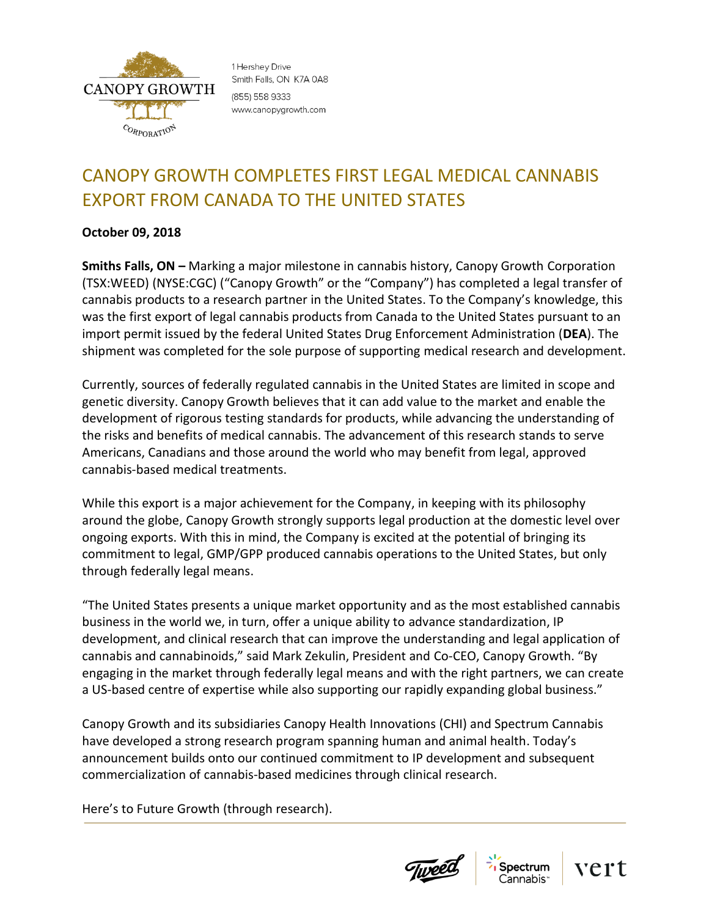

1 Hershey Drive Smith Falls, ON K7A 0A8 (855) 558 9333 www.canopygrowth.com

## CANOPY GROWTH COMPLETES FIRST LEGAL MEDICAL CANNABIS EXPORT FROM CANADA TO THE UNITED STATES

## **October 09, 2018**

**Smiths Falls, ON –** Marking a major milestone in cannabis history, Canopy Growth Corporation (TSX:WEED) (NYSE:CGC) ("Canopy Growth" or the "Company") has completed a legal transfer of cannabis products to a research partner in the United States. To the Company's knowledge, this was the first export of legal cannabis products from Canada to the United States pursuant to an import permit issued by the federal United States Drug Enforcement Administration (**DEA**). The shipment was completed for the sole purpose of supporting medical research and development.

Currently, sources of federally regulated cannabis in the United States are limited in scope and genetic diversity. Canopy Growth believes that it can add value to the market and enable the development of rigorous testing standards for products, while advancing the understanding of the risks and benefits of medical cannabis. The advancement of this research stands to serve Americans, Canadians and those around the world who may benefit from legal, approved cannabis-based medical treatments.

While this export is a major achievement for the Company, in keeping with its philosophy around the globe, Canopy Growth strongly supports legal production at the domestic level over ongoing exports. With this in mind, the Company is excited at the potential of bringing its commitment to legal, GMP/GPP produced cannabis operations to the United States, but only through federally legal means.

"The United States presents a unique market opportunity and as the most established cannabis business in the world we, in turn, offer a unique ability to advance standardization, IP development, and clinical research that can improve the understanding and legal application of cannabis and cannabinoids," said Mark Zekulin, President and Co-CEO, Canopy Growth. "By engaging in the market through federally legal means and with the right partners, we can create a US-based centre of expertise while also supporting our rapidly expanding global business."

Canopy Growth and its subsidiaries Canopy Health Innovations (CHI) and Spectrum Cannabis have developed a strong research program spanning human and animal health. Today's announcement builds onto our continued commitment to IP development and subsequent commercialization of cannabis-based medicines through clinical research.

Here's to Future Growth (through research).





vert